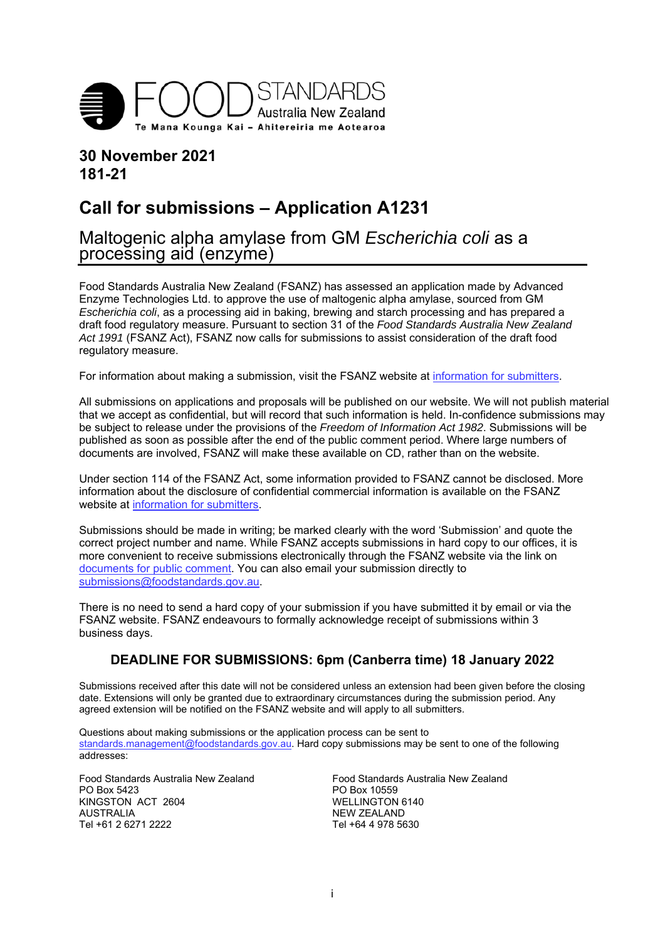

## **30 November 2021 181-21**

# **Call for submissions – Application A1231**

## Maltogenic alpha amylase from GM *Escherichia coli* as a processing aid (enzyme)

Food Standards Australia New Zealand (FSANZ) has assessed an application made by Advanced Enzyme Technologies Ltd. to approve the use of maltogenic alpha amylase, sourced from GM *Escherichia coli*, as a processing aid in baking, brewing and starch processing and has prepared a draft food regulatory measure. Pursuant to section 31 of the *Food Standards Australia New Zealand Act 1991* (FSANZ Act), FSANZ now calls for submissions to assist consideration of the draft food regulatory measure.

For information about making a submission, visit the FSANZ website at information for submitters.

All submissions on applications and proposals will be published on our website. We will not publish material that we accept as confidential, but will record that such information is held. In-confidence submissions may be subject to release under the provisions of the *Freedom of Information Act 1982*. Submissions will be published as soon as possible after the end of the public comment period. Where large numbers of documents are involved, FSANZ will make these available on CD, rather than on the website.

Under section 114 of the FSANZ Act, some information provided to FSANZ cannot be disclosed. More information about the disclosure of confidential commercial information is available on the FSANZ website at information for submitters.

Submissions should be made in writing; be marked clearly with the word 'Submission' and quote the correct project number and name. While FSANZ accepts submissions in hard copy to our offices, it is more convenient to receive submissions electronically through the FSANZ website via the link on documents for public comment. You can also email your submission directly to submissions@foodstandards.gov.au.

There is no need to send a hard copy of your submission if you have submitted it by email or via the FSANZ website. FSANZ endeavours to formally acknowledge receipt of submissions within 3 business days.

## **DEADLINE FOR SUBMISSIONS: 6pm (Canberra time) 18 January 2022**

Submissions received after this date will not be considered unless an extension had been given before the closing date. Extensions will only be granted due to extraordinary circumstances during the submission period. Any agreed extension will be notified on the FSANZ website and will apply to all submitters.

Questions about making submissions or the application process can be sent to standards.management@foodstandards.gov.au. Hard copy submissions may be sent to one of the following addresses:

KINGSTON ACT 2604 WELLINGTON 6140<br>AUSTRALIA WERELAND Tel +61 2 6271 2222

Food Standards Australia New Zealand<br>
PO Box 5423<br>
PO Box 10559 PO Box 10559 NEW ZEALAND<br>Tel +64 4 978 5630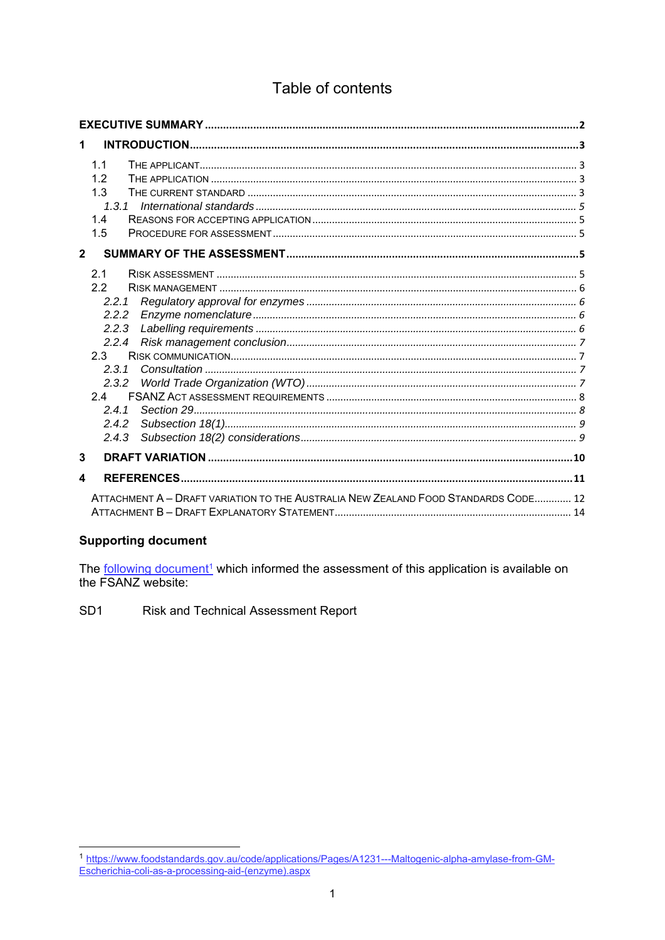## Table of contents

| 1              |                                                                                                             |
|----------------|-------------------------------------------------------------------------------------------------------------|
|                | 1.1<br>1.2<br>1.3<br>1, 3, 1<br>1.4<br>1.5                                                                  |
| $\overline{2}$ |                                                                                                             |
|                | 2.1<br>22<br>2.2.1<br>2.2.2<br>2.2.3<br>2.2.4<br>$2.3 -$<br>2.3.1<br>2.3.2<br>24<br>2.4.1<br>2.4.2<br>2.4.3 |
| 3              |                                                                                                             |
| 4              |                                                                                                             |
|                | ATTACHMENT A - DRAFT VARIATION TO THE AUSTRALIA NEW ZEALAND FOOD STANDARDS CODE 12                          |

#### **Supporting document**

The following document<sup>1</sup> which informed the assessment of this application is available on the FSANZ website:

SD<sub>1</sub> Risk and Technical Assessment Report

<sup>1</sup> https://www.foodstandards.gov.au/code/applications/Pages/A1231---Maltogenic-alpha-amylase-from-GM-<br>Escherichia-coli-as-a-processing-aid-(enzyme).aspx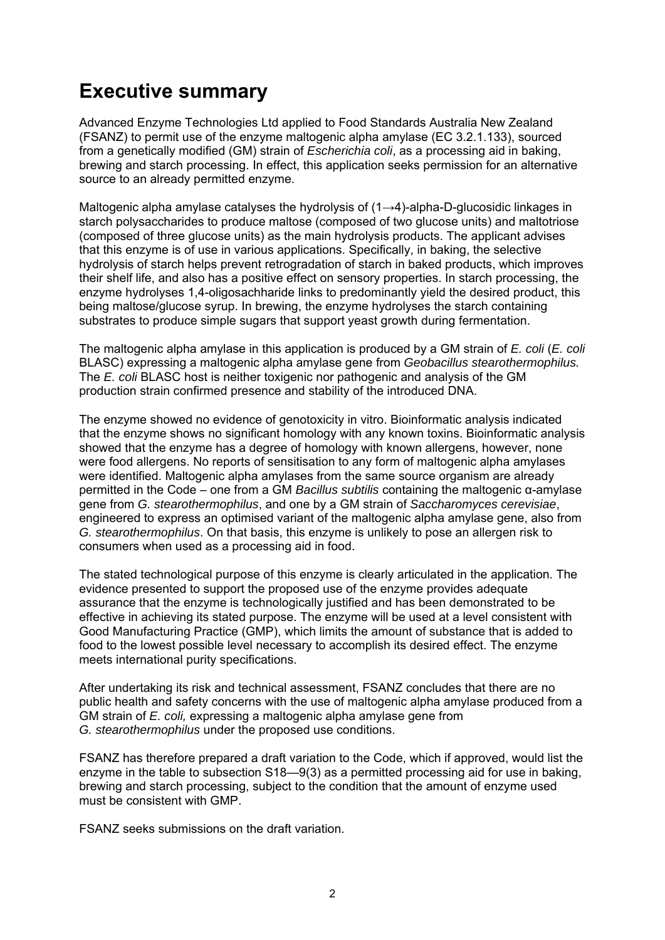# **Executive summary**

Advanced Enzyme Technologies Ltd applied to Food Standards Australia New Zealand (FSANZ) to permit use of the enzyme maltogenic alpha amylase (EC 3.2.1.133), sourced from a genetically modified (GM) strain of *Escherichia coli*, as a processing aid in baking, brewing and starch processing. In effect, this application seeks permission for an alternative source to an already permitted enzyme.

Maltogenic alpha amylase catalyses the hydrolysis of (1→4)-alpha-D-glucosidic linkages in starch polysaccharides to produce maltose (composed of two glucose units) and maltotriose (composed of three glucose units) as the main hydrolysis products. The applicant advises that this enzyme is of use in various applications. Specifically, in baking, the selective hydrolysis of starch helps prevent retrogradation of starch in baked products, which improves their shelf life, and also has a positive effect on sensory properties. In starch processing, the enzyme hydrolyses 1,4-oligosachharide links to predominantly yield the desired product, this being maltose/glucose syrup. In brewing, the enzyme hydrolyses the starch containing substrates to produce simple sugars that support yeast growth during fermentation.

The maltogenic alpha amylase in this application is produced by a GM strain of *E. coli* (*E. coli*  BLASC) expressing a maltogenic alpha amylase gene from *Geobacillus stearothermophilus.*  The *E. coli* BLASC host is neither toxigenic nor pathogenic and analysis of the GM production strain confirmed presence and stability of the introduced DNA.

The enzyme showed no evidence of genotoxicity in vitro. Bioinformatic analysis indicated that the enzyme shows no significant homology with any known toxins. Bioinformatic analysis showed that the enzyme has a degree of homology with known allergens, however, none were food allergens. No reports of sensitisation to any form of maltogenic alpha amylases were identified. Maltogenic alpha amylases from the same source organism are already permitted in the Code – one from a GM *Bacillus subtilis* containing the maltogenic α-amylase gene from *G. stearothermophilus*, and one by a GM strain of *Saccharomyces cerevisiae*, engineered to express an optimised variant of the maltogenic alpha amylase gene, also from *G. stearothermophilus*. On that basis, this enzyme is unlikely to pose an allergen risk to consumers when used as a processing aid in food.

The stated technological purpose of this enzyme is clearly articulated in the application. The evidence presented to support the proposed use of the enzyme provides adequate assurance that the enzyme is technologically justified and has been demonstrated to be effective in achieving its stated purpose. The enzyme will be used at a level consistent with Good Manufacturing Practice (GMP), which limits the amount of substance that is added to food to the lowest possible level necessary to accomplish its desired effect. The enzyme meets international purity specifications.

After undertaking its risk and technical assessment, FSANZ concludes that there are no public health and safety concerns with the use of maltogenic alpha amylase produced from a GM strain of *E. coli,* expressing a maltogenic alpha amylase gene from *G. stearothermophilus* under the proposed use conditions.

FSANZ has therefore prepared a draft variation to the Code, which if approved, would list the enzyme in the table to subsection S18—9(3) as a permitted processing aid for use in baking, brewing and starch processing, subject to the condition that the amount of enzyme used must be consistent with GMP.

FSANZ seeks submissions on the draft variation.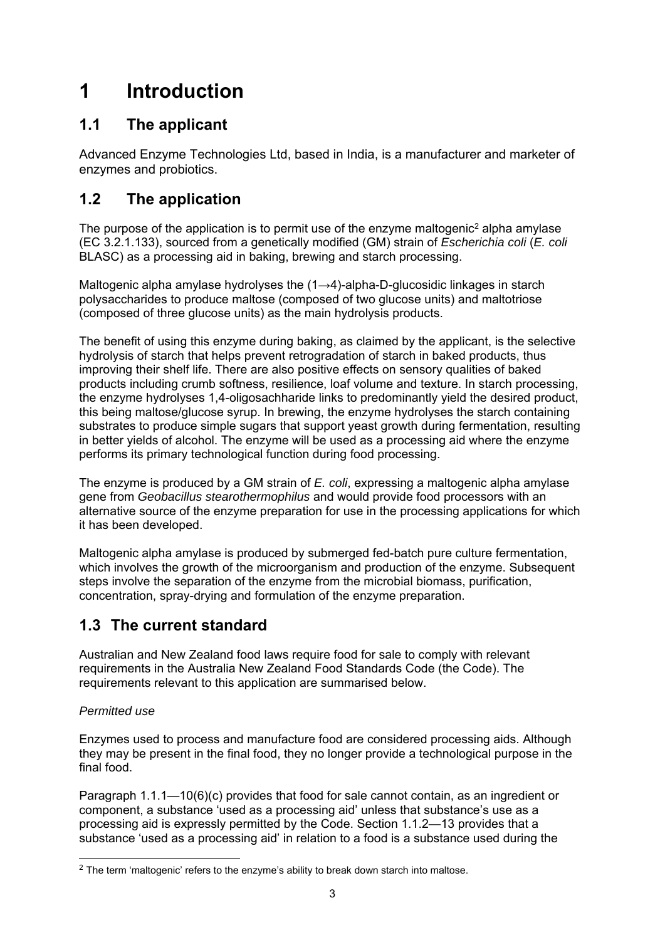# **1 Introduction**

## **1.1 The applicant**

Advanced Enzyme Technologies Ltd, based in India, is a manufacturer and marketer of enzymes and probiotics.

## **1.2 The application**

The purpose of the application is to permit use of the enzyme maltogenic<sup>2</sup> alpha amylase (EC 3.2.1.133), sourced from a genetically modified (GM) strain of *Escherichia coli* (*E. coli*  BLASC) as a processing aid in baking, brewing and starch processing.

Maltogenic alpha amylase hydrolyses the (1→4)-alpha-D-glucosidic linkages in starch polysaccharides to produce maltose (composed of two glucose units) and maltotriose (composed of three glucose units) as the main hydrolysis products.

The benefit of using this enzyme during baking, as claimed by the applicant, is the selective hydrolysis of starch that helps prevent retrogradation of starch in baked products, thus improving their shelf life. There are also positive effects on sensory qualities of baked products including crumb softness, resilience, loaf volume and texture. In starch processing, the enzyme hydrolyses 1,4-oligosachharide links to predominantly yield the desired product, this being maltose/glucose syrup. In brewing, the enzyme hydrolyses the starch containing substrates to produce simple sugars that support yeast growth during fermentation, resulting in better yields of alcohol. The enzyme will be used as a processing aid where the enzyme performs its primary technological function during food processing.

The enzyme is produced by a GM strain of *E. coli*, expressing a maltogenic alpha amylase gene from *Geobacillus stearothermophilus* and would provide food processors with an alternative source of the enzyme preparation for use in the processing applications for which it has been developed.

Maltogenic alpha amylase is produced by submerged fed-batch pure culture fermentation, which involves the growth of the microorganism and production of the enzyme. Subsequent steps involve the separation of the enzyme from the microbial biomass, purification, concentration, spray-drying and formulation of the enzyme preparation.

## **1.3 The current standard**

Australian and New Zealand food laws require food for sale to comply with relevant requirements in the Australia New Zealand Food Standards Code (the Code). The requirements relevant to this application are summarised below.

## *Permitted use*

Enzymes used to process and manufacture food are considered processing aids. Although they may be present in the final food, they no longer provide a technological purpose in the final food.

Paragraph 1.1.1—10(6)(c) provides that food for sale cannot contain, as an ingredient or component, a substance 'used as a processing aid' unless that substance's use as a processing aid is expressly permitted by the Code. Section 1.1.2—13 provides that a substance 'used as a processing aid' in relation to a food is a substance used during the

 $\overline{a}$  $2$  The term 'maltogenic' refers to the enzyme's ability to break down starch into maltose.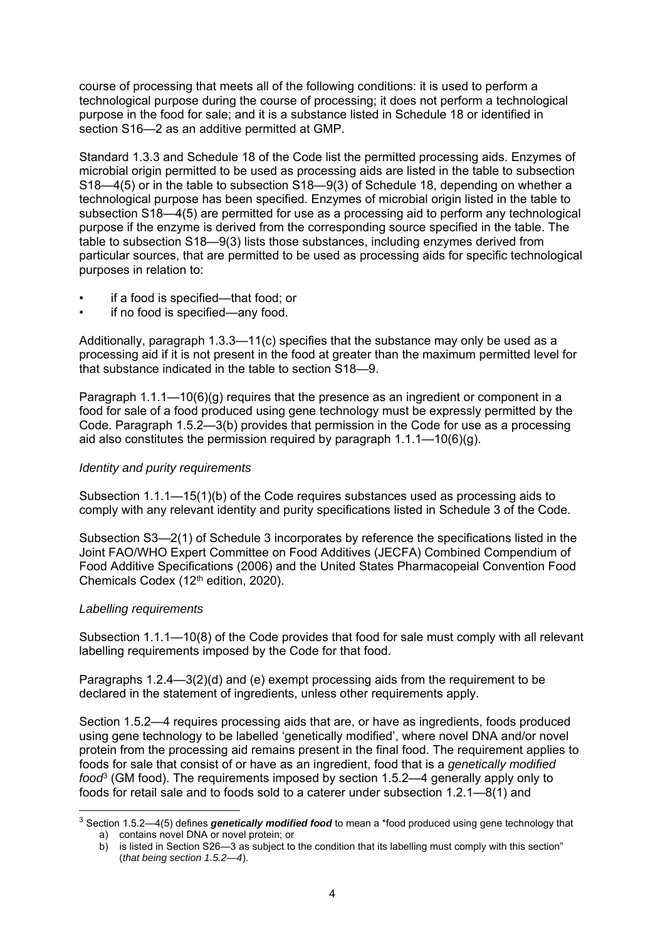course of processing that meets all of the following conditions: it is used to perform a technological purpose during the course of processing; it does not perform a technological purpose in the food for sale; and it is a substance listed in Schedule 18 or identified in section S16—2 as an additive permitted at GMP.

Standard 1.3.3 and Schedule 18 of the Code list the permitted processing aids. Enzymes of microbial origin permitted to be used as processing aids are listed in the table to subsection S18—4(5) or in the table to subsection S18—9(3) of Schedule 18, depending on whether a technological purpose has been specified. Enzymes of microbial origin listed in the table to subsection S18—4(5) are permitted for use as a processing aid to perform any technological purpose if the enzyme is derived from the corresponding source specified in the table. The table to subsection S18—9(3) lists those substances, including enzymes derived from particular sources, that are permitted to be used as processing aids for specific technological purposes in relation to:

- if a food is specified—that food; or
- if no food is specified—any food.

Additionally, paragraph 1.3.3—11(c) specifies that the substance may only be used as a processing aid if it is not present in the food at greater than the maximum permitted level for that substance indicated in the table to section S18—9.

Paragraph  $1.1.1$ — $10(6)(q)$  requires that the presence as an ingredient or component in a food for sale of a food produced using gene technology must be expressly permitted by the Code. Paragraph 1.5.2—3(b) provides that permission in the Code for use as a processing aid also constitutes the permission required by paragraph  $1.1.1 - 10(6)(q)$ .

#### *Identity and purity requirements*

Subsection 1.1.1—15(1)(b) of the Code requires substances used as processing aids to comply with any relevant identity and purity specifications listed in Schedule 3 of the Code.

Subsection S3—2(1) of Schedule 3 incorporates by reference the specifications listed in the Joint FAO/WHO Expert Committee on Food Additives (JECFA) Combined Compendium of Food Additive Specifications (2006) and the United States Pharmacopeial Convention Food Chemicals Codex (12th edition, 2020).

#### *Labelling requirements*

-

Subsection 1.1.1—10(8) of the Code provides that food for sale must comply with all relevant labelling requirements imposed by the Code for that food.

Paragraphs 1.2.4—3(2)(d) and (e) exempt processing aids from the requirement to be declared in the statement of ingredients, unless other requirements apply.

Section 1.5.2—4 requires processing aids that are, or have as ingredients, foods produced using gene technology to be labelled 'genetically modified', where novel DNA and/or novel protein from the processing aid remains present in the final food. The requirement applies to foods for sale that consist of or have as an ingredient, food that is a *genetically modified food*<sup>3</sup> (GM food). The requirements imposed by section 1.5.2—4 generally apply only to foods for retail sale and to foods sold to a caterer under subsection 1.2.1—8(1) and

<sup>3</sup> Section 1.5.2—4(5) defines *genetically modified food* to mean a \*food produced using gene technology that a) contains novel DNA or novel protein; or

b) is listed in Section S26—3 as subject to the condition that its labelling must comply with this section" (*that being section 1.5.2—4*).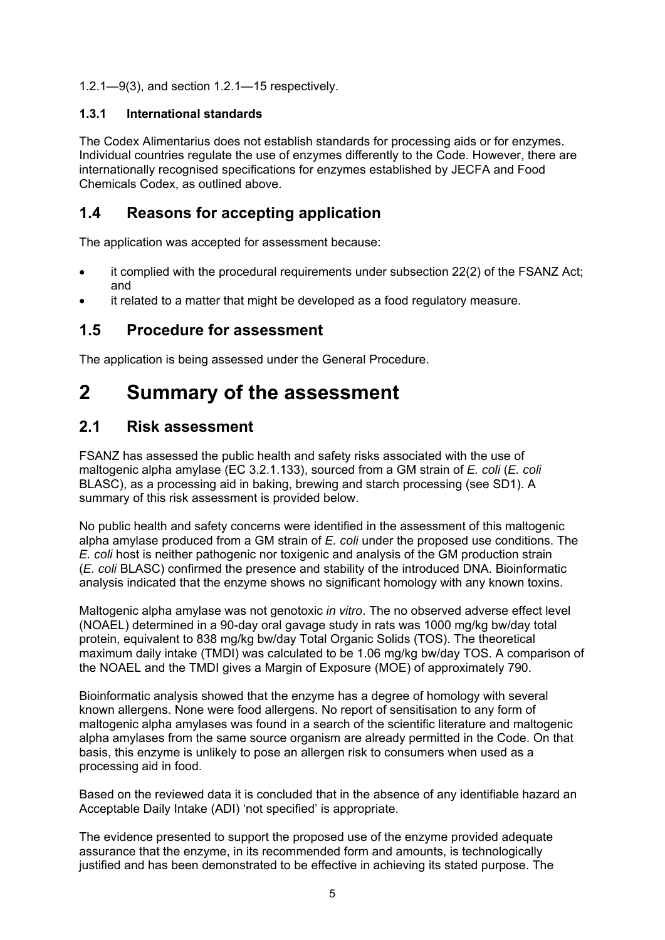1.2.1—9(3), and section 1.2.1—15 respectively.

### **1.3.1 International standards**

The Codex Alimentarius does not establish standards for processing aids or for enzymes. Individual countries regulate the use of enzymes differently to the Code. However, there are internationally recognised specifications for enzymes established by JECFA and Food Chemicals Codex, as outlined above.

## **1.4 Reasons for accepting application**

The application was accepted for assessment because:

- it complied with the procedural requirements under subsection 22(2) of the FSANZ Act; and
- it related to a matter that might be developed as a food regulatory measure.

## **1.5 Procedure for assessment**

The application is being assessed under the General Procedure.

# **2 Summary of the assessment**

## **2.1 Risk assessment**

FSANZ has assessed the public health and safety risks associated with the use of maltogenic alpha amylase (EC 3.2.1.133), sourced from a GM strain of *E. coli* (*E. coli*  BLASC), as a processing aid in baking, brewing and starch processing (see SD1). A summary of this risk assessment is provided below.

No public health and safety concerns were identified in the assessment of this maltogenic alpha amylase produced from a GM strain of *E. coli* under the proposed use conditions. The *E. coli* host is neither pathogenic nor toxigenic and analysis of the GM production strain (*E. coli* BLASC) confirmed the presence and stability of the introduced DNA. Bioinformatic analysis indicated that the enzyme shows no significant homology with any known toxins.

Maltogenic alpha amylase was not genotoxic *in vitro*. The no observed adverse effect level (NOAEL) determined in a 90-day oral gavage study in rats was 1000 mg/kg bw/day total protein, equivalent to 838 mg/kg bw/day Total Organic Solids (TOS). The theoretical maximum daily intake (TMDI) was calculated to be 1.06 mg/kg bw/day TOS. A comparison of the NOAEL and the TMDI gives a Margin of Exposure (MOE) of approximately 790.

Bioinformatic analysis showed that the enzyme has a degree of homology with several known allergens. None were food allergens. No report of sensitisation to any form of maltogenic alpha amylases was found in a search of the scientific literature and maltogenic alpha amylases from the same source organism are already permitted in the Code. On that basis, this enzyme is unlikely to pose an allergen risk to consumers when used as a processing aid in food.

Based on the reviewed data it is concluded that in the absence of any identifiable hazard an Acceptable Daily Intake (ADI) 'not specified' is appropriate.

The evidence presented to support the proposed use of the enzyme provided adequate assurance that the enzyme, in its recommended form and amounts, is technologically justified and has been demonstrated to be effective in achieving its stated purpose. The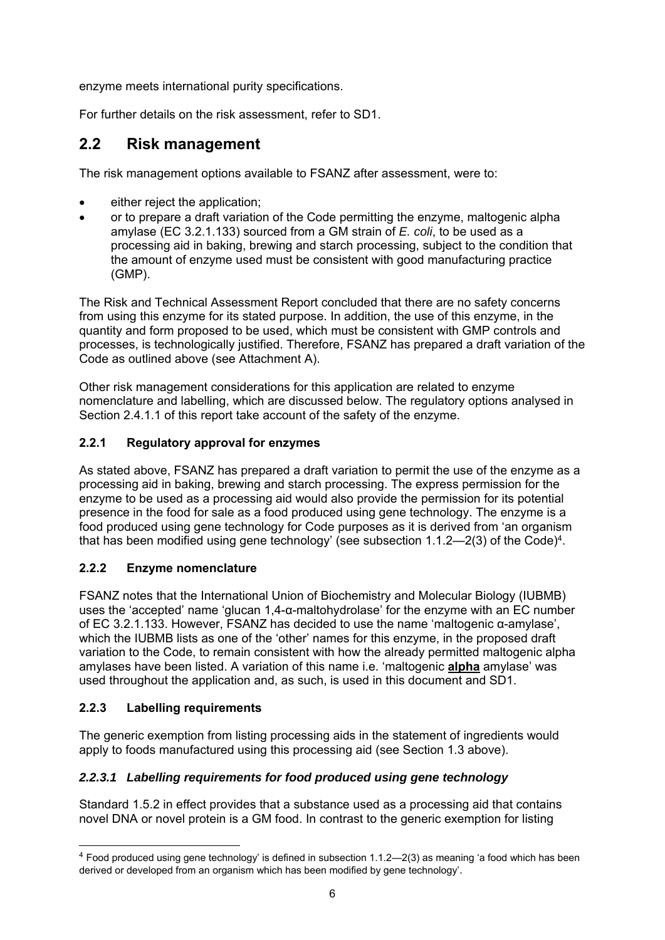enzyme meets international purity specifications.

For further details on the risk assessment, refer to SD1.

## **2.2 Risk management**

The risk management options available to FSANZ after assessment, were to:

- either reject the application;
- or to prepare a draft variation of the Code permitting the enzyme, maltogenic alpha amylase (EC 3.2.1.133) sourced from a GM strain of *E. coli*, to be used as a processing aid in baking, brewing and starch processing, subject to the condition that the amount of enzyme used must be consistent with good manufacturing practice (GMP).

The Risk and Technical Assessment Report concluded that there are no safety concerns from using this enzyme for its stated purpose. In addition, the use of this enzyme, in the quantity and form proposed to be used, which must be consistent with GMP controls and processes, is technologically justified. Therefore, FSANZ has prepared a draft variation of the Code as outlined above (see Attachment A).

Other risk management considerations for this application are related to enzyme nomenclature and labelling, which are discussed below. The regulatory options analysed in Section 2.4.1.1 of this report take account of the safety of the enzyme.

### **2.2.1 Regulatory approval for enzymes**

As stated above, FSANZ has prepared a draft variation to permit the use of the enzyme as a processing aid in baking, brewing and starch processing. The express permission for the enzyme to be used as a processing aid would also provide the permission for its potential presence in the food for sale as a food produced using gene technology. The enzyme is a food produced using gene technology for Code purposes as it is derived from 'an organism that has been modified using gene technology' (see subsection  $1.1.2$ — $2(3)$  of the Code)<sup>4</sup>.

## **2.2.2 Enzyme nomenclature**

FSANZ notes that the International Union of Biochemistry and Molecular Biology (IUBMB) uses the 'accepted' name 'glucan 1,4-α-maltohydrolase' for the enzyme with an EC number of EC 3.2.1.133. However, FSANZ has decided to use the name 'maltogenic α-amylase', which the IUBMB lists as one of the 'other' names for this enzyme, in the proposed draft variation to the Code, to remain consistent with how the already permitted maltogenic alpha amylases have been listed. A variation of this name i.e. 'maltogenic **alpha** amylase' was used throughout the application and, as such, is used in this document and SD1.

## **2.2.3 Labelling requirements**

-

The generic exemption from listing processing aids in the statement of ingredients would apply to foods manufactured using this processing aid (see Section 1.3 above).

## *2.2.3.1 Labelling requirements for food produced using gene technology*

Standard 1.5.2 in effect provides that a substance used as a processing aid that contains novel DNA or novel protein is a GM food. In contrast to the generic exemption for listing

<sup>4</sup> Food produced using gene technology' is defined in subsection 1.1.2—2(3) as meaning 'a food which has been derived or developed from an organism which has been modified by gene technology'.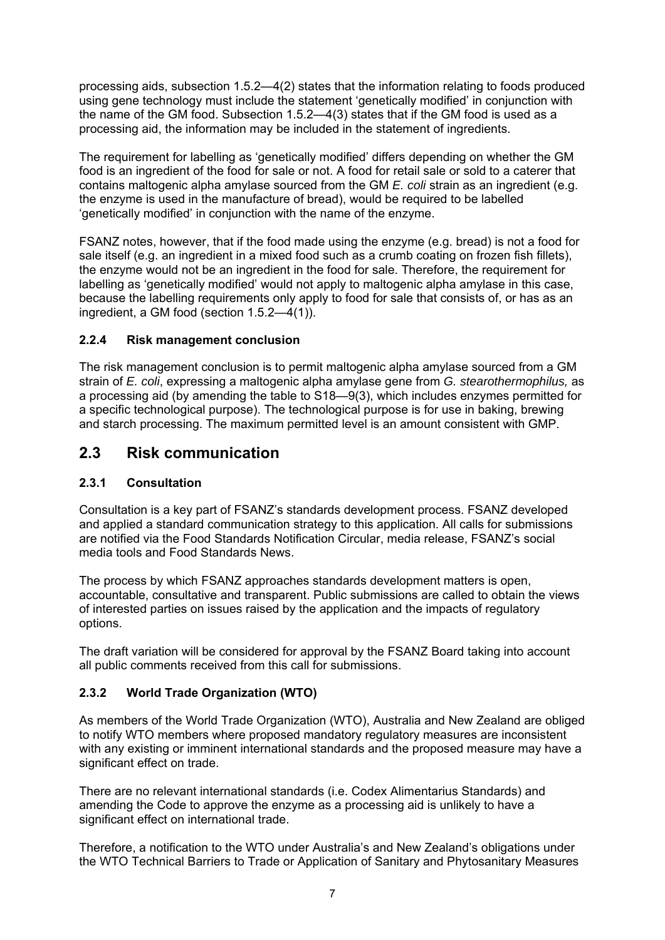processing aids, subsection 1.5.2—4(2) states that the information relating to foods produced using gene technology must include the statement 'genetically modified' in conjunction with the name of the GM food. Subsection 1.5.2—4(3) states that if the GM food is used as a processing aid, the information may be included in the statement of ingredients.

The requirement for labelling as 'genetically modified' differs depending on whether the GM food is an ingredient of the food for sale or not. A food for retail sale or sold to a caterer that contains maltogenic alpha amylase sourced from the GM *E. coli* strain as an ingredient (e.g. the enzyme is used in the manufacture of bread), would be required to be labelled 'genetically modified' in conjunction with the name of the enzyme.

FSANZ notes, however, that if the food made using the enzyme (e.g. bread) is not a food for sale itself (e.g. an ingredient in a mixed food such as a crumb coating on frozen fish fillets), the enzyme would not be an ingredient in the food for sale. Therefore, the requirement for labelling as 'genetically modified' would not apply to maltogenic alpha amylase in this case, because the labelling requirements only apply to food for sale that consists of, or has as an ingredient, a GM food (section 1.5.2—4(1)).

### **2.2.4 Risk management conclusion**

The risk management conclusion is to permit maltogenic alpha amylase sourced from a GM strain of *E. coli*, expressing a maltogenic alpha amylase gene from *G. stearothermophilus,* as a processing aid (by amending the table to S18—9(3), which includes enzymes permitted for a specific technological purpose). The technological purpose is for use in baking, brewing and starch processing. The maximum permitted level is an amount consistent with GMP.

## **2.3 Risk communication**

#### **2.3.1 Consultation**

Consultation is a key part of FSANZ's standards development process. FSANZ developed and applied a standard communication strategy to this application. All calls for submissions are notified via the Food Standards Notification Circular, media release, FSANZ's social media tools and Food Standards News.

The process by which FSANZ approaches standards development matters is open, accountable, consultative and transparent. Public submissions are called to obtain the views of interested parties on issues raised by the application and the impacts of regulatory options.

The draft variation will be considered for approval by the FSANZ Board taking into account all public comments received from this call for submissions.

## **2.3.2 World Trade Organization (WTO)**

As members of the World Trade Organization (WTO), Australia and New Zealand are obliged to notify WTO members where proposed mandatory regulatory measures are inconsistent with any existing or imminent international standards and the proposed measure may have a significant effect on trade.

There are no relevant international standards (i.e. Codex Alimentarius Standards) and amending the Code to approve the enzyme as a processing aid is unlikely to have a significant effect on international trade.

Therefore, a notification to the WTO under Australia's and New Zealand's obligations under the WTO Technical Barriers to Trade or Application of Sanitary and Phytosanitary Measures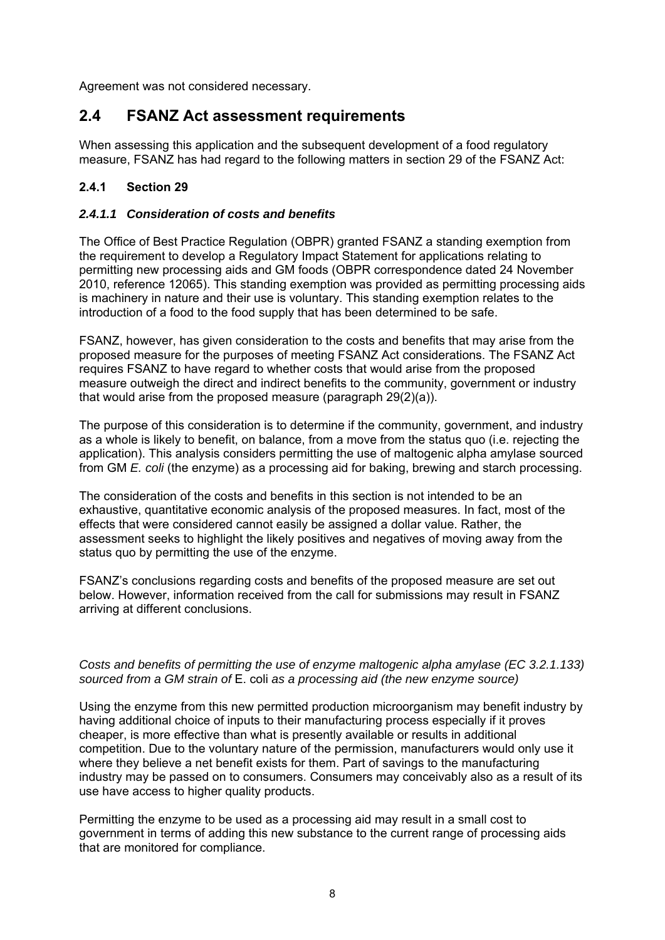Agreement was not considered necessary.

## **2.4 FSANZ Act assessment requirements**

When assessing this application and the subsequent development of a food regulatory measure, FSANZ has had regard to the following matters in section 29 of the FSANZ Act:

#### **2.4.1 Section 29**

#### *2.4.1.1 Consideration of costs and benefits*

The Office of Best Practice Regulation (OBPR) granted FSANZ a standing exemption from the requirement to develop a Regulatory Impact Statement for applications relating to permitting new processing aids and GM foods (OBPR correspondence dated 24 November 2010, reference 12065). This standing exemption was provided as permitting processing aids is machinery in nature and their use is voluntary. This standing exemption relates to the introduction of a food to the food supply that has been determined to be safe.

FSANZ, however, has given consideration to the costs and benefits that may arise from the proposed measure for the purposes of meeting FSANZ Act considerations. The FSANZ Act requires FSANZ to have regard to whether costs that would arise from the proposed measure outweigh the direct and indirect benefits to the community, government or industry that would arise from the proposed measure (paragraph 29(2)(a)).

The purpose of this consideration is to determine if the community, government, and industry as a whole is likely to benefit, on balance, from a move from the status quo (i.e. rejecting the application). This analysis considers permitting the use of maltogenic alpha amylase sourced from GM *E. coli* (the enzyme) as a processing aid for baking, brewing and starch processing.

The consideration of the costs and benefits in this section is not intended to be an exhaustive, quantitative economic analysis of the proposed measures. In fact, most of the effects that were considered cannot easily be assigned a dollar value. Rather, the assessment seeks to highlight the likely positives and negatives of moving away from the status quo by permitting the use of the enzyme.

FSANZ's conclusions regarding costs and benefits of the proposed measure are set out below. However, information received from the call for submissions may result in FSANZ arriving at different conclusions.

#### *Costs and benefits of permitting the use of enzyme maltogenic alpha amylase (EC 3.2.1.133) sourced from a GM strain of* E. coli *as a processing aid (the new enzyme source)*

Using the enzyme from this new permitted production microorganism may benefit industry by having additional choice of inputs to their manufacturing process especially if it proves cheaper, is more effective than what is presently available or results in additional competition. Due to the voluntary nature of the permission, manufacturers would only use it where they believe a net benefit exists for them. Part of savings to the manufacturing industry may be passed on to consumers. Consumers may conceivably also as a result of its use have access to higher quality products.

Permitting the enzyme to be used as a processing aid may result in a small cost to government in terms of adding this new substance to the current range of processing aids that are monitored for compliance.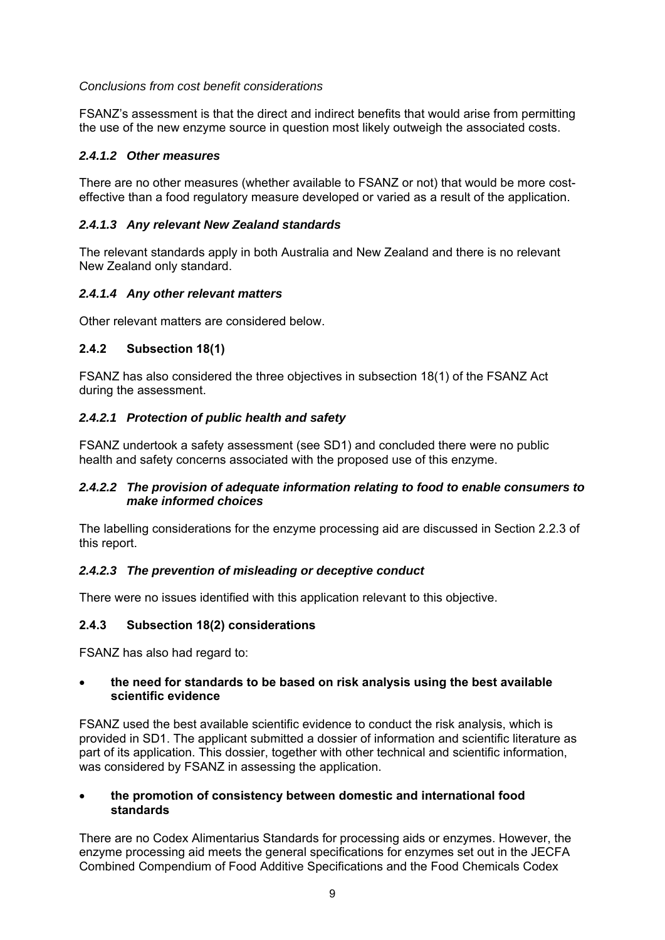#### *Conclusions from cost benefit considerations*

FSANZ's assessment is that the direct and indirect benefits that would arise from permitting the use of the new enzyme source in question most likely outweigh the associated costs.

#### *2.4.1.2 Other measures*

There are no other measures (whether available to FSANZ or not) that would be more costeffective than a food regulatory measure developed or varied as a result of the application.

#### *2.4.1.3 Any relevant New Zealand standards*

The relevant standards apply in both Australia and New Zealand and there is no relevant New Zealand only standard.

#### *2.4.1.4 Any other relevant matters*

Other relevant matters are considered below.

#### **2.4.2 Subsection 18(1)**

FSANZ has also considered the three objectives in subsection 18(1) of the FSANZ Act during the assessment.

#### *2.4.2.1 Protection of public health and safety*

FSANZ undertook a safety assessment (see SD1) and concluded there were no public health and safety concerns associated with the proposed use of this enzyme.

#### *2.4.2.2 The provision of adequate information relating to food to enable consumers to make informed choices*

The labelling considerations for the enzyme processing aid are discussed in Section 2.2.3 of this report.

#### *2.4.2.3 The prevention of misleading or deceptive conduct*

There were no issues identified with this application relevant to this objective.

#### **2.4.3 Subsection 18(2) considerations**

FSANZ has also had regard to:

#### **the need for standards to be based on risk analysis using the best available scientific evidence**

FSANZ used the best available scientific evidence to conduct the risk analysis, which is provided in SD1. The applicant submitted a dossier of information and scientific literature as part of its application. This dossier, together with other technical and scientific information, was considered by FSANZ in assessing the application.

#### **the promotion of consistency between domestic and international food standards**

There are no Codex Alimentarius Standards for processing aids or enzymes. However, the enzyme processing aid meets the general specifications for enzymes set out in the JECFA Combined Compendium of Food Additive Specifications and the Food Chemicals Codex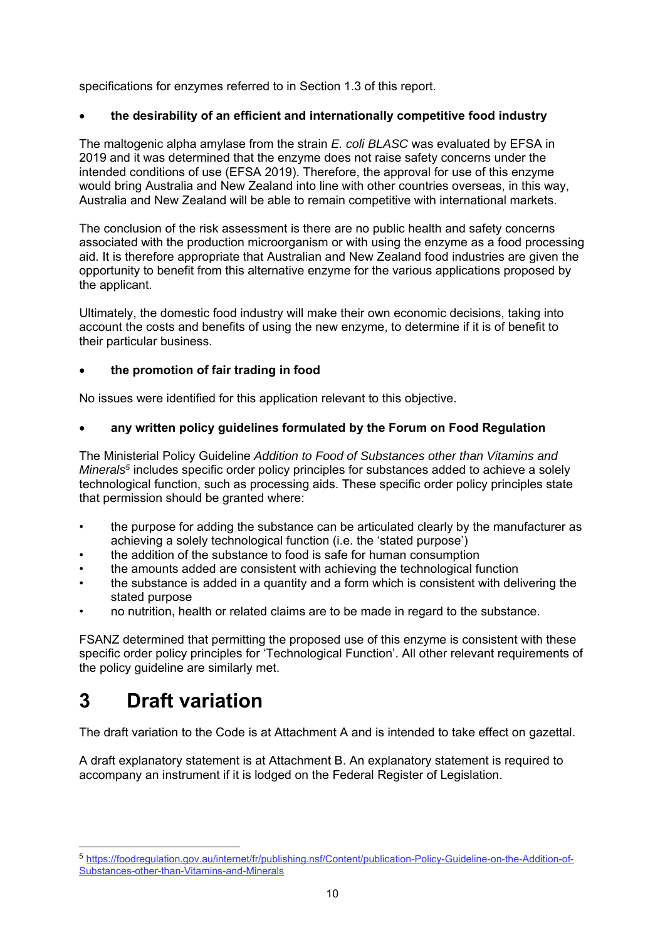specifications for enzymes referred to in Section 1.3 of this report.

#### **the desirability of an efficient and internationally competitive food industry**

The maltogenic alpha amylase from the strain *E. coli BLASC* was evaluated by EFSA in 2019 and it was determined that the enzyme does not raise safety concerns under the intended conditions of use (EFSA 2019). Therefore, the approval for use of this enzyme would bring Australia and New Zealand into line with other countries overseas, in this way, Australia and New Zealand will be able to remain competitive with international markets.

The conclusion of the risk assessment is there are no public health and safety concerns associated with the production microorganism or with using the enzyme as a food processing aid. It is therefore appropriate that Australian and New Zealand food industries are given the opportunity to benefit from this alternative enzyme for the various applications proposed by the applicant.

Ultimately, the domestic food industry will make their own economic decisions, taking into account the costs and benefits of using the new enzyme, to determine if it is of benefit to their particular business.

#### **the promotion of fair trading in food**

No issues were identified for this application relevant to this objective.

#### **any written policy guidelines formulated by the Forum on Food Regulation**

The Ministerial Policy Guideline *Addition to Food of Substances other than Vitamins and Minerals<sup>5</sup>* includes specific order policy principles for substances added to achieve a solely technological function, such as processing aids. These specific order policy principles state that permission should be granted where:

- the purpose for adding the substance can be articulated clearly by the manufacturer as achieving a solely technological function (i.e. the 'stated purpose')
- the addition of the substance to food is safe for human consumption
- the amounts added are consistent with achieving the technological function
- the substance is added in a quantity and a form which is consistent with delivering the stated purpose
- no nutrition, health or related claims are to be made in regard to the substance.

FSANZ determined that permitting the proposed use of this enzyme is consistent with these specific order policy principles for 'Technological Function'. All other relevant requirements of the policy guideline are similarly met.

# **3 Draft variation**

-

The draft variation to the Code is at Attachment A and is intended to take effect on gazettal.

A draft explanatory statement is at Attachment B. An explanatory statement is required to accompany an instrument if it is lodged on the Federal Register of Legislation.

<sup>5</sup> https://foodregulation.gov.au/internet/fr/publishing.nsf/Content/publication-Policy-Guideline-on-the-Addition-of-Substances-other-than-Vitamins-and-Minerals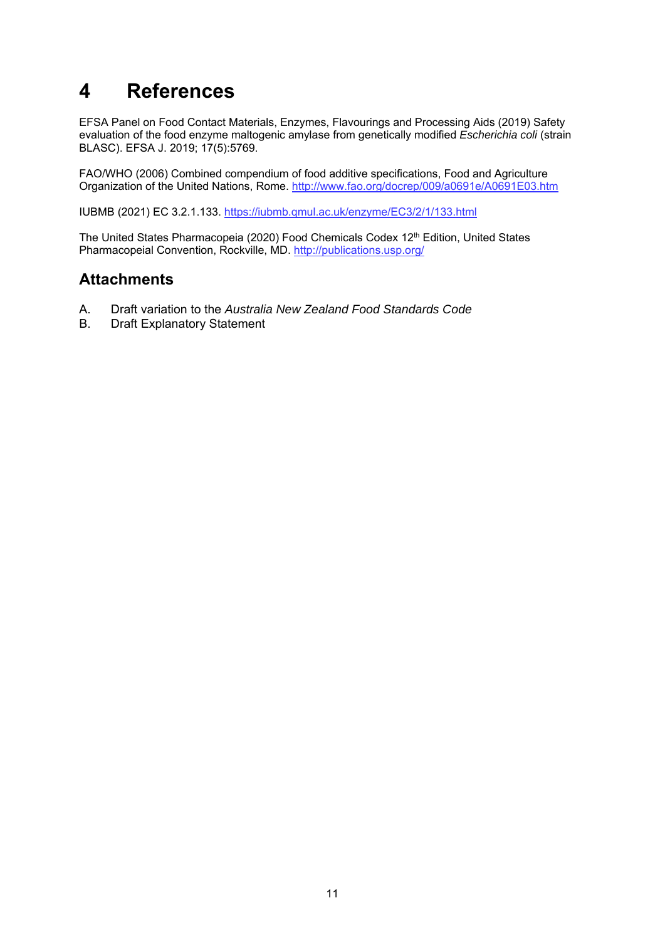# **4 References**

EFSA Panel on Food Contact Materials, Enzymes, Flavourings and Processing Aids (2019) Safety evaluation of the food enzyme maltogenic amylase from genetically modified *Escherichia coli* (strain BLASC). EFSA J. 2019; 17(5):5769.

FAO/WHO (2006) Combined compendium of food additive specifications, Food and Agriculture Organization of the United Nations, Rome. http://www.fao.org/docrep/009/a0691e/A0691E03.htm

IUBMB (2021) EC 3.2.1.133. https://iubmb.qmul.ac.uk/enzyme/EC3/2/1/133.html

The United States Pharmacopeia (2020) Food Chemicals Codex 12<sup>th</sup> Edition, United States Pharmacopeial Convention, Rockville, MD. http://publications.usp.org/

## **Attachments**

- A. Draft variation to the *Australia New Zealand Food Standards Code*
- B. Draft Explanatory Statement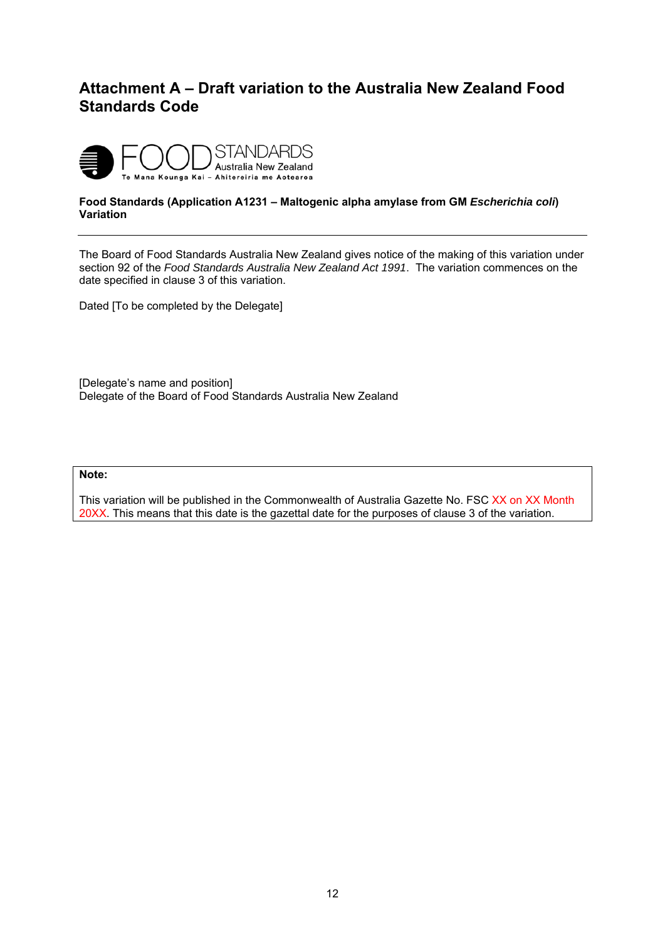## **Attachment A – Draft variation to the Australia New Zealand Food Standards Code**



#### **Food Standards (Application A1231 – Maltogenic alpha amylase from GM** *Escherichia coli***) Variation**

The Board of Food Standards Australia New Zealand gives notice of the making of this variation under section 92 of the *Food Standards Australia New Zealand Act 1991*. The variation commences on the date specified in clause 3 of this variation.

Dated [To be completed by the Delegate]

[Delegate's name and position] Delegate of the Board of Food Standards Australia New Zealand

#### **Note:**

This variation will be published in the Commonwealth of Australia Gazette No. FSC XX on XX Month 20XX. This means that this date is the gazettal date for the purposes of clause 3 of the variation.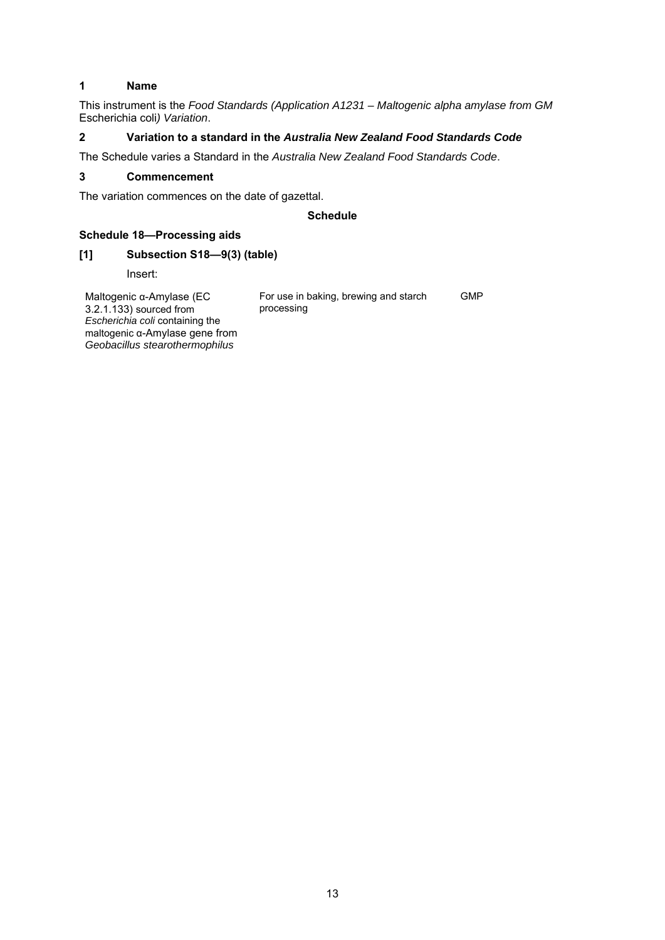#### **1 Name**

This instrument is the *Food Standards (Application A1231 – Maltogenic alpha amylase from GM*  Escherichia coli*) Variation*.

#### **2 Variation to a standard in the** *Australia New Zealand Food Standards Code*

The Schedule varies a Standard in the *Australia New Zealand Food Standards Code*.

#### **3 Commencement**

The variation commences on the date of gazettal.

#### **Schedule**

#### **Schedule 18—Processing aids**

*Geobacillus stearothermophilus*

#### **[1] Subsection S18—9(3) (table)**

Insert:

Maltogenic α-Amylase (EC 3.2.1.133) sourced from *Escherichia coli* containing the maltogenic α-Amylase gene from For use in baking, brewing and starch processing GMP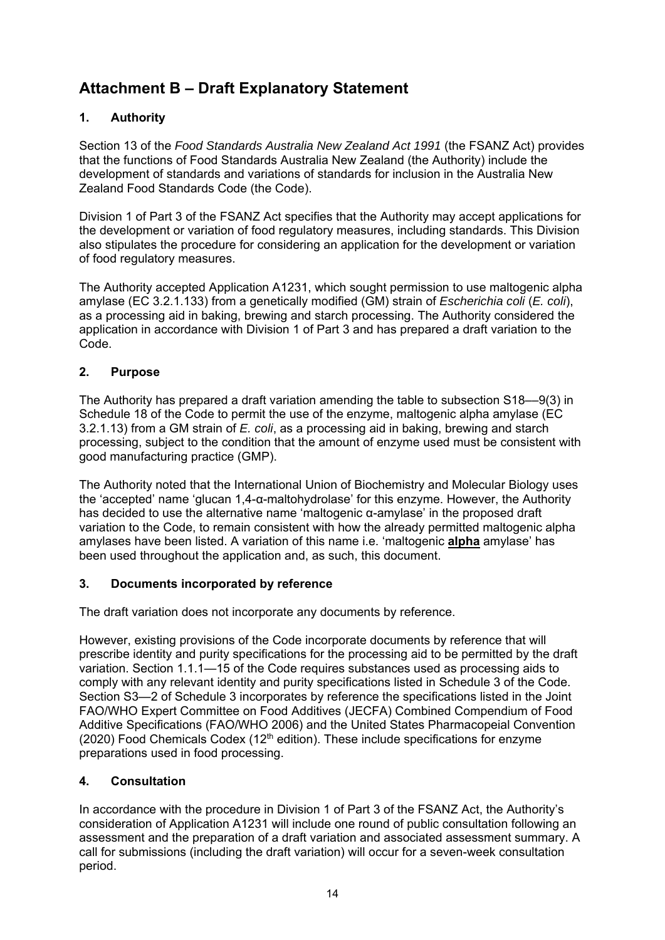## **Attachment B – Draft Explanatory Statement**

## **1. Authority**

Section 13 of the *Food Standards Australia New Zealand Act 1991* (the FSANZ Act) provides that the functions of Food Standards Australia New Zealand (the Authority) include the development of standards and variations of standards for inclusion in the Australia New Zealand Food Standards Code (the Code).

Division 1 of Part 3 of the FSANZ Act specifies that the Authority may accept applications for the development or variation of food regulatory measures, including standards. This Division also stipulates the procedure for considering an application for the development or variation of food regulatory measures.

The Authority accepted Application A1231, which sought permission to use maltogenic alpha amylase (EC 3.2.1.133) from a genetically modified (GM) strain of *Escherichia coli* (*E. coli*), as a processing aid in baking, brewing and starch processing. The Authority considered the application in accordance with Division 1 of Part 3 and has prepared a draft variation to the Code.

#### **2. Purpose**

The Authority has prepared a draft variation amending the table to subsection S18––9(3) in Schedule 18 of the Code to permit the use of the enzyme, maltogenic alpha amylase (EC 3.2.1.13) from a GM strain of *E. coli*, as a processing aid in baking, brewing and starch processing, subject to the condition that the amount of enzyme used must be consistent with good manufacturing practice (GMP).

The Authority noted that the International Union of Biochemistry and Molecular Biology uses the 'accepted' name 'glucan 1,4-α-maltohydrolase' for this enzyme. However, the Authority has decided to use the alternative name 'maltogenic α-amylase' in the proposed draft variation to the Code, to remain consistent with how the already permitted maltogenic alpha amylases have been listed. A variation of this name i.e. 'maltogenic **alpha** amylase' has been used throughout the application and, as such, this document.

#### **3. Documents incorporated by reference**

The draft variation does not incorporate any documents by reference.

However, existing provisions of the Code incorporate documents by reference that will prescribe identity and purity specifications for the processing aid to be permitted by the draft variation. Section 1.1.1—15 of the Code requires substances used as processing aids to comply with any relevant identity and purity specifications listed in Schedule 3 of the Code. Section S3—2 of Schedule 3 incorporates by reference the specifications listed in the Joint FAO/WHO Expert Committee on Food Additives (JECFA) Combined Compendium of Food Additive Specifications (FAO/WHO 2006) and the United States Pharmacopeial Convention  $(2020)$  Food Chemicals Codex  $(12<sup>th</sup>$  edition). These include specifications for enzyme preparations used in food processing.

## **4. Consultation**

In accordance with the procedure in Division 1 of Part 3 of the FSANZ Act, the Authority's consideration of Application A1231 will include one round of public consultation following an assessment and the preparation of a draft variation and associated assessment summary. A call for submissions (including the draft variation) will occur for a seven-week consultation period.